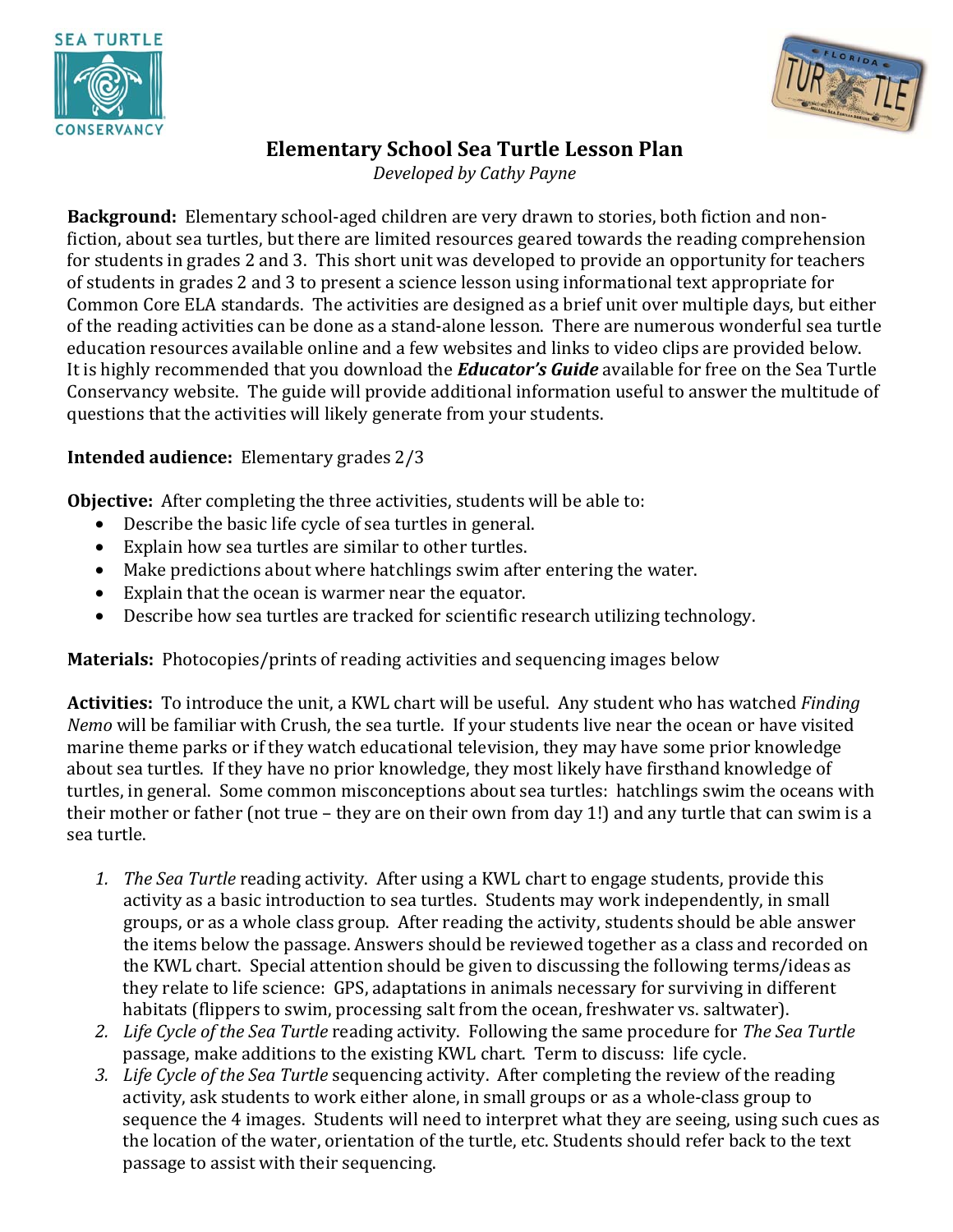



## **Elementary School Sea Turtle Lesson Plan**

*Developed by Cathy Payne* 

**Background:** Elementary school-aged children are very drawn to stories, both fiction and nonfiction, about sea turtles, but there are limited resources geared towards the reading comprehension for students in grades 2 and 3. This short unit was developed to provide an opportunity for teachers of students in grades 2 and 3 to present a science lesson using informational text appropriate for Common Core ELA standards. The activities are designed as a brief unit over multiple days, but either of the reading activities can be done as a stand-alone lesson. There are numerous wonderful sea turtle education resources available online and a few websites and links to video clips are provided below. It is highly recommended that you download the *Educator's Guide* available for free on the Sea Turtle Conservancy website. The guide will provide additional information useful to answer the multitude of questions that the activities will likely generate from your students.

### **Intended audience:** Elementary grades 2/3

**Objective:** After completing the three activities, students will be able to:

- Describe the basic life cycle of sea turtles in general.
- Explain how sea turtles are similar to other turtles.
- Make predictions about where hatchlings swim after entering the water.
- Explain that the ocean is warmer near the equator.
- Describe how sea turtles are tracked for scientific research utilizing technology.

**Materials:** Photocopies/prints of reading activities and sequencing images below

**Activities:** To introduce the unit, a KWL chart will be useful. Any student who has watched *Finding Nemo* will be familiar with Crush, the sea turtle. If your students live near the ocean or have visited marine theme parks or if they watch educational television, they may have some prior knowledge about sea turtles. If they have no prior knowledge, they most likely have firsthand knowledge of turtles, in general. Some common misconceptions about sea turtles: hatchlings swim the oceans with their mother or father (not true – they are on their own from day 1!) and any turtle that can swim is a sea turtle.

- *1. The Sea Turtle* reading activity. After using a KWL chart to engage students, provide this activity as a basic introduction to sea turtles. Students may work independently, in small groups, or as a whole class group. After reading the activity, students should be able answer the items below the passage. Answers should be reviewed together as a class and recorded on the KWL chart. Special attention should be given to discussing the following terms/ideas as they relate to life science: GPS, adaptations in animals necessary for surviving in different habitats (flippers to swim, processing salt from the ocean, freshwater vs. saltwater).
- *2. Life Cycle of the Sea Turtle* reading activity. Following the same procedure for *The Sea Turtle* passage, make additions to the existing KWL chart. Term to discuss: life cycle.
- *3. Life Cycle of the Sea Turtle* sequencing activity. After completing the review of the reading activity, ask students to work either alone, in small groups or as a whole-class group to sequence the 4 images. Students will need to interpret what they are seeing, using such cues as the location of the water, orientation of the turtle, etc. Students should refer back to the text passage to assist with their sequencing.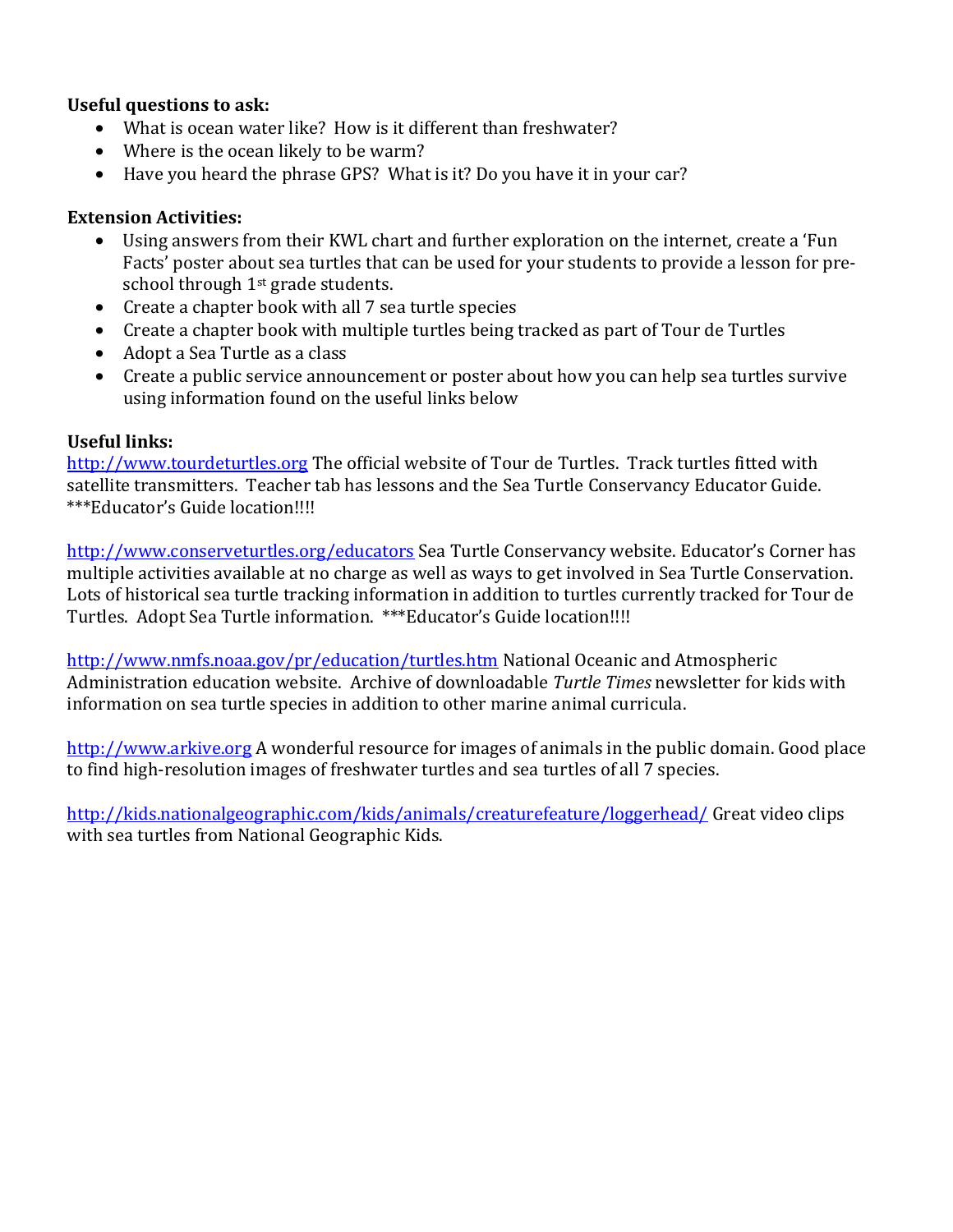#### **Useful questions to ask:**

- What is ocean water like? How is it different than freshwater?
- Where is the ocean likely to be warm?
- Have you heard the phrase GPS? What is it? Do you have it in your car?

#### **Extension Activities:**

- Using answers from their KWL chart and further exploration on the internet, create a 'Fun Facts' poster about sea turtles that can be used for your students to provide a lesson for preschool through 1<sup>st</sup> grade students.
- Create a chapter book with all 7 sea turtle species
- Create a chapter book with multiple turtles being tracked as part of Tour de Turtles
- Adopt a Sea Turtle as a class
- Create a public service announcement or poster about how you can help sea turtles survive using information found on the useful links below

#### **Useful links:**

http://www.tourdeturtles.org The official website of Tour de Turtles. Track turtles fitted with satellite transmitters. Teacher tab has lessons and the Sea Turtle Conservancy Educator Guide. \*\*\*Educator's Guide location!!!!

http://www.conserveturtles.org/educators Sea Turtle Conservancy website. Educator's Corner has multiple activities available at no charge as well as ways to get involved in Sea Turtle Conservation. Lots of historical sea turtle tracking information in addition to turtles currently tracked for Tour de Turtles. Adopt Sea Turtle information. \*\*\*Educator's Guide location!!!!

http://www.nmfs.noaa.gov/pr/education/turtles.htm National Oceanic and Atmospheric Administration education website. Archive of downloadable *Turtle Times* newsletter for kids with information on sea turtle species in addition to other marine animal curricula.

http://www.arkive.org A wonderful resource for images of animals in the public domain. Good place to find high-resolution images of freshwater turtles and sea turtles of all 7 species.

http://kids.nationalgeographic.com/kids/animals/creaturefeature/loggerhead/ Great video clips with sea turtles from National Geographic Kids.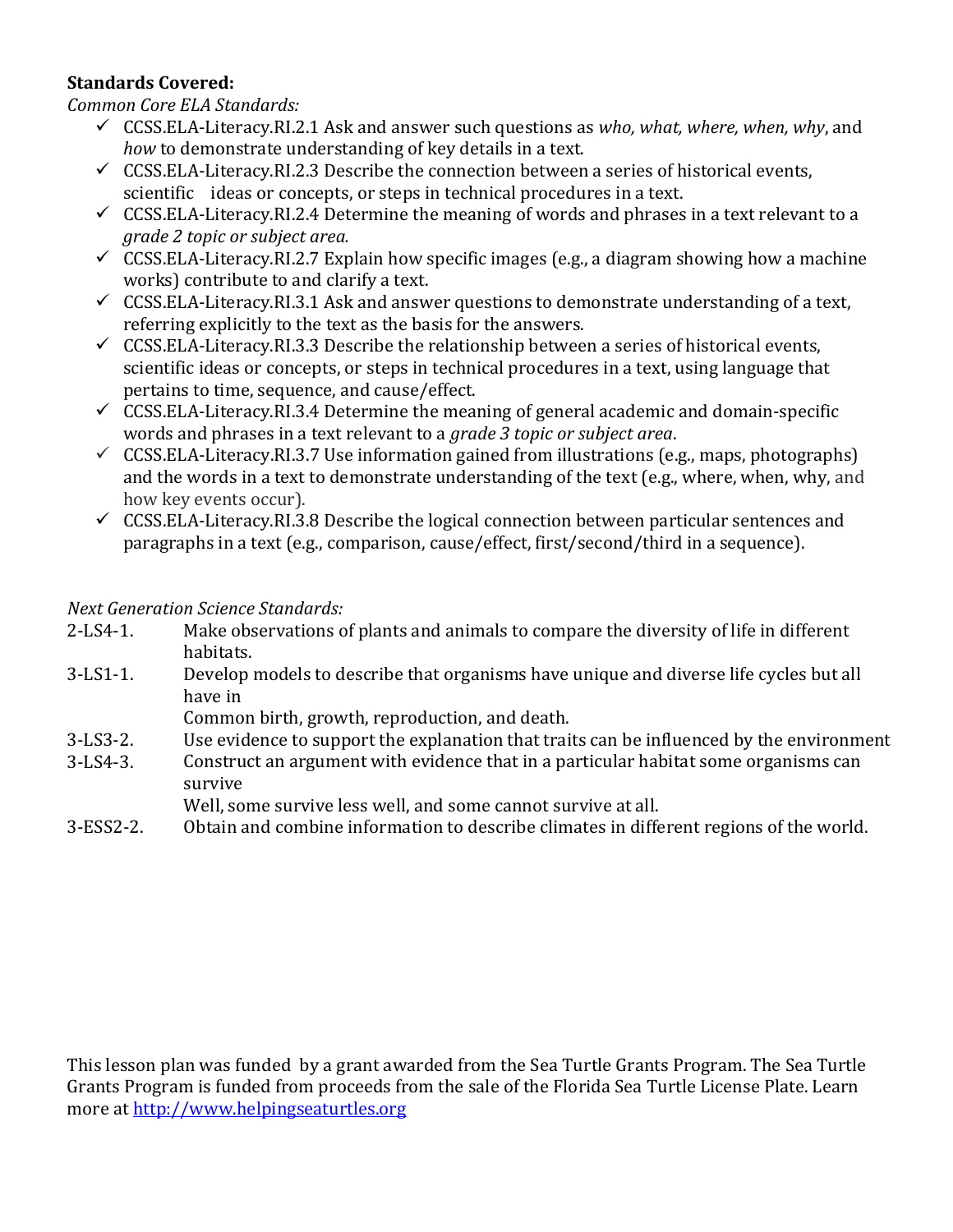### **Standards Covered:**

### *Common Core ELA Standards:*

- 9 CCSS.ELA-Literacy.RI.2.1 Ask and answer such questions as *who, what, where, when, why*, and *how* to demonstrate understanding of key details in a text.
- $\checkmark$  CCSS.ELA-Literacy.RI.2.3 Describe the connection between a series of historical events, scientific ideas or concepts, or steps in technical procedures in a text.
- $\checkmark$  CCSS.ELA-Literacy.RI.2.4 Determine the meaning of words and phrases in a text relevant to a *grade 2 topic or subject area.*
- $\checkmark$  CCSS.ELA-Literacy.RI.2.7 Explain how specific images (e.g., a diagram showing how a machine works) contribute to and clarify a text.
- $\checkmark$  CCSS.ELA-Literacy.RI.3.1 Ask and answer questions to demonstrate understanding of a text, referring explicitly to the text as the basis for the answers.
- $\checkmark$  CCSS.ELA-Literacy.RI.3.3 Describe the relationship between a series of historical events, scientific ideas or concepts, or steps in technical procedures in a text, using language that pertains to time, sequence, and cause/effect.
- $\checkmark$  CCSS.ELA-Literacy.RI.3.4 Determine the meaning of general academic and domain-specific words and phrases in a text relevant to a *grade 3 topic or subject area*.
- $\checkmark$  CCSS.ELA-Literacy.RI.3.7 Use information gained from illustrations (e.g., maps, photographs) and the words in a text to demonstrate understanding of the text (e.g., where, when, why, and how key events occur).
- $\checkmark$  CCSS.ELA-Literacy.RI.3.8 Describe the logical connection between particular sentences and paragraphs in a text (e.g., comparison, cause/effect, first/second/third in a sequence).

### *Next Generation Science Standards:*

- 2-LS4-1. Make observations of plants and animals to compare the diversity of life in different habitats.
- 3-LS1-1. Develop models to describe that organisms have unique and diverse life cycles but all have in
	- Common birth, growth, reproduction, and death.
- 3-LS3-2. Use evidence to support the explanation that traits can be influenced by the environment
- 3-LS4-3. Construct an argument with evidence that in a particular habitat some organisms can survive
	- Well, some survive less well, and some cannot survive at all.
- 3-ESS2-2. Obtain and combine information to describe climates in different regions of the world.

This lesson plan was funded by a grant awarded from the Sea Turtle Grants Program. The Sea Turtle Grants Program is funded from proceeds from the sale of the Florida Sea Turtle License Plate. Learn more at http://www.helpingseaturtles.org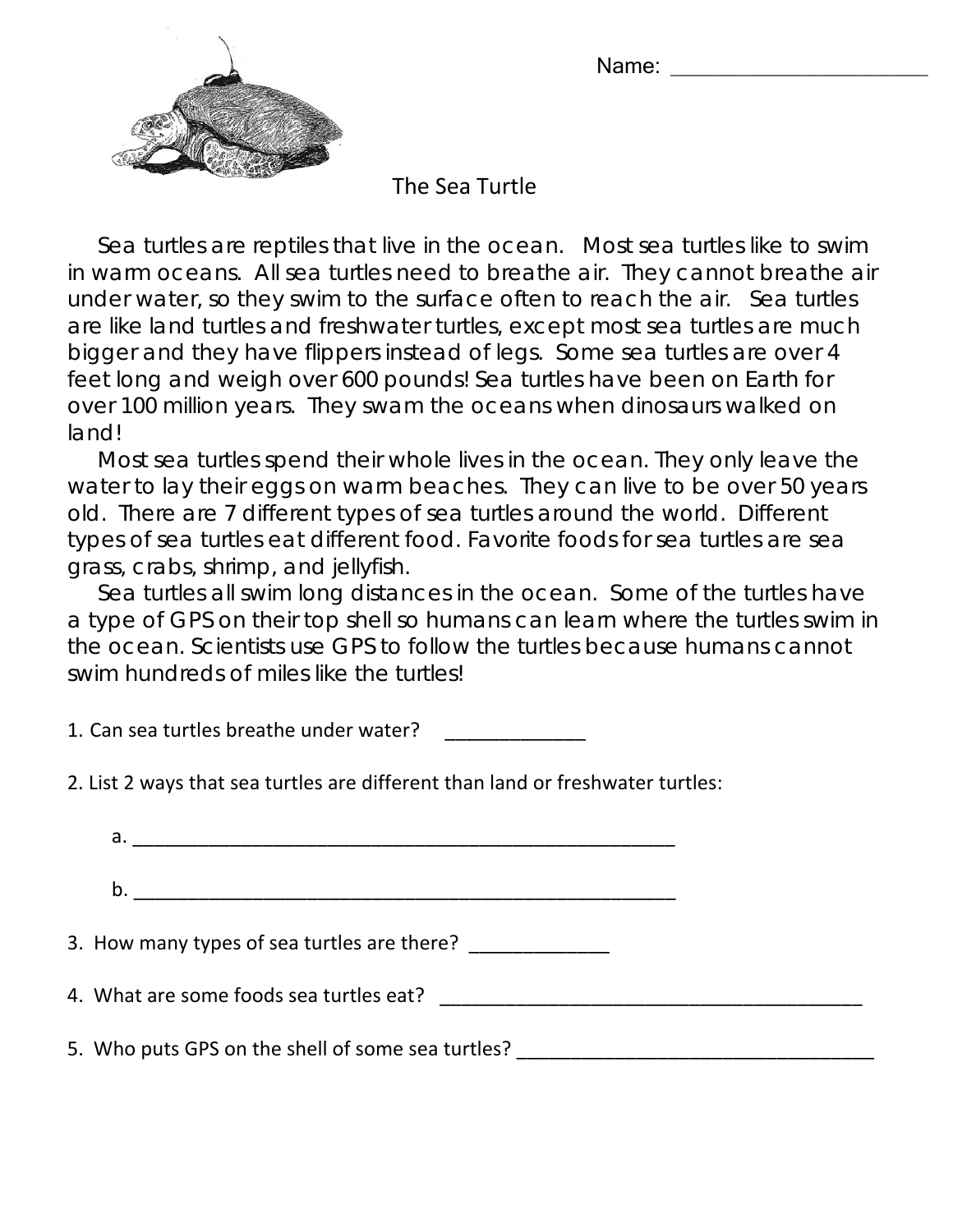Name:



The Sea Turtle

 Sea turtles are reptiles that live in the ocean. Most sea turtles like to swim in warm oceans. All sea turtles need to breathe air. They cannot breathe air under water, so they swim to the surface often to reach the air. Sea turtles are like land turtles and freshwater turtles, except most sea turtles are much bigger and they have flippers instead of legs. Some sea turtles are over 4 feet long and weigh over 600 pounds! Sea turtles have been on Earth for over 100 million years. They swam the oceans when dinosaurs walked on land!

 Most sea turtles spend their whole lives in the ocean. They only leave the water to lay their eggs on warm beaches. They can live to be over 50 years old. There are 7 different types of sea turtles around the world. Different types of sea turtles eat different food. Favorite foods for sea turtles are sea grass, crabs, shrimp, and jellyfish.

 Sea turtles all swim long distances in the ocean. Some of the turtles have a type of GPS on their top shell so humans can learn where the turtles swim in the ocean. Scientists use GPS to follow the turtles because humans cannot swim hundreds of miles like the turtles!

1. Can sea turtles breathe under water?

2. List 2 ways that sea turtles are different than land or freshwater turtles:

| 3. How many types of sea turtles are there?       |  |
|---------------------------------------------------|--|
|                                                   |  |
| 5. Who puts GPS on the shell of some sea turtles? |  |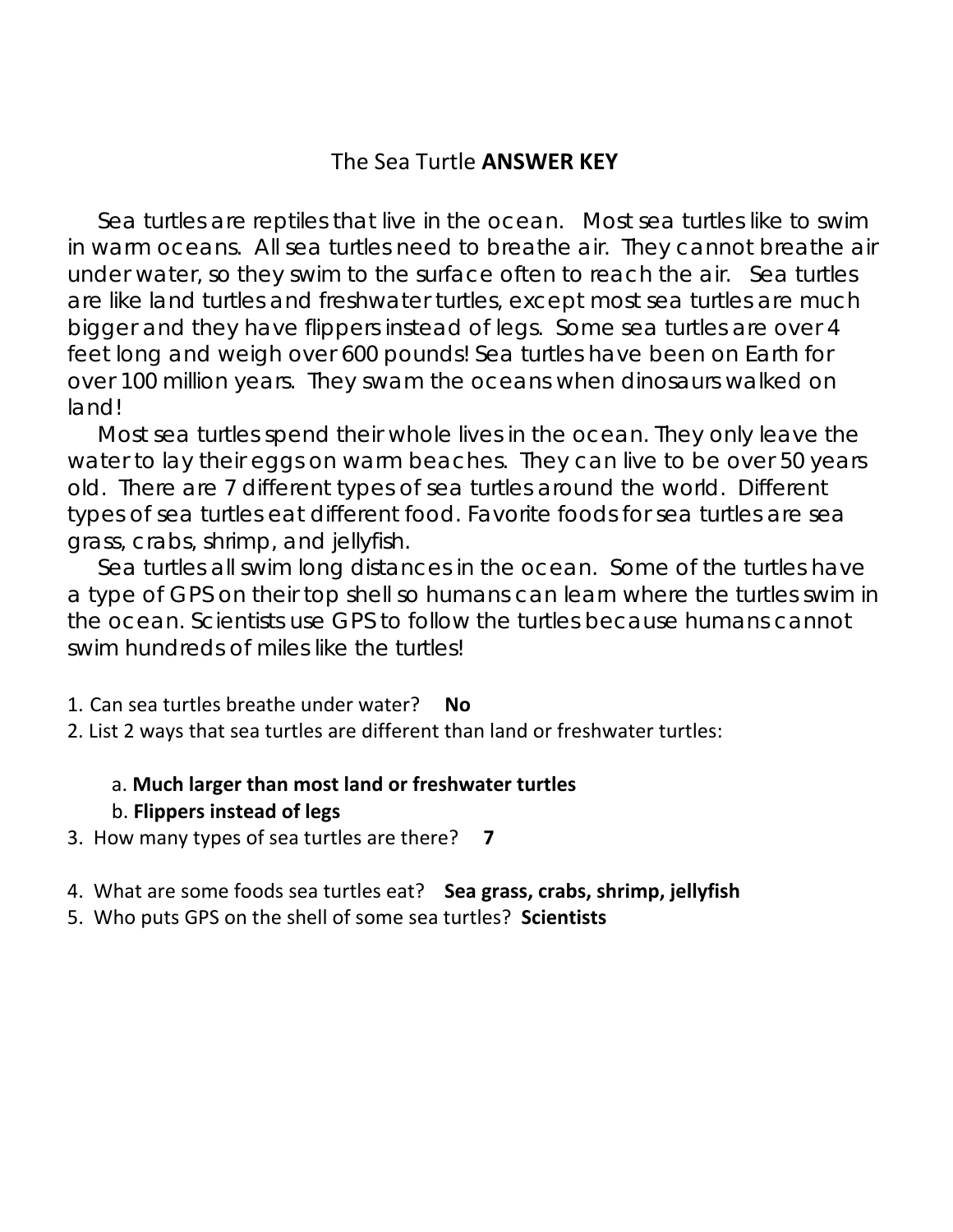# The Sea Turtle **ANSWER KEY**

 Sea turtles are reptiles that live in the ocean. Most sea turtles like to swim in warm oceans. All sea turtles need to breathe air. They cannot breathe air under water, so they swim to the surface often to reach the air. Sea turtles are like land turtles and freshwater turtles, except most sea turtles are much bigger and they have flippers instead of legs. Some sea turtles are over 4 feet long and weigh over 600 pounds! Sea turtles have been on Earth for over 100 million years. They swam the oceans when dinosaurs walked on land!

 Most sea turtles spend their whole lives in the ocean. They only leave the water to lay their eggs on warm beaches. They can live to be over 50 years old. There are 7 different types of sea turtles around the world. Different types of sea turtles eat different food. Favorite foods for sea turtles are sea grass, crabs, shrimp, and jellyfish.

 Sea turtles all swim long distances in the ocean. Some of the turtles have a type of GPS on their top shell so humans can learn where the turtles swim in the ocean. Scientists use GPS to follow the turtles because humans cannot swim hundreds of miles like the turtles!

### 1. Can sea turtles breathe under water? **No**

2. List 2 ways that sea turtles are different than land or freshwater turtles:

### a. **Much larger than most land or freshwater turtles**

### b. **Flippers instead of legs**

3. How many types of sea turtles are there? **7**

- 4. What are some foods sea turtles eat? **Sea grass, crabs, shrimp, jellyfish**
- 5. Who puts GPS on the shell of some sea turtles? **Scientists**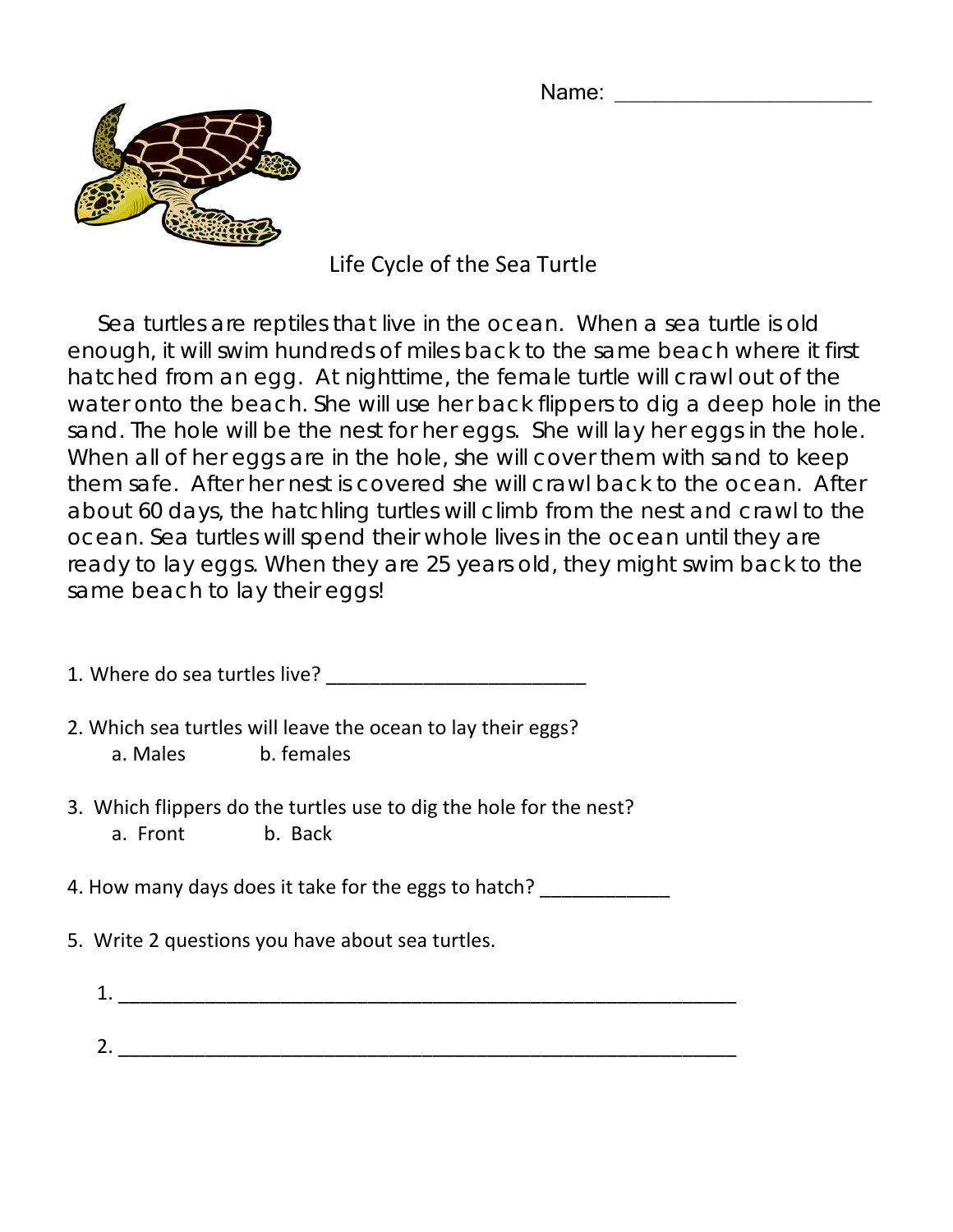Name: \_\_\_\_\_\_\_\_\_\_\_\_\_\_\_\_\_\_\_\_\_\_\_\_\_



# Life Cycle of the Sea Turtle

 Sea turtles are reptiles that live in the ocean. When a sea turtle is old enough, it will swim hundreds of miles back to the same beach where it first hatched from an egg. At nighttime, the female turtle will crawl out of the water onto the beach. She will use her back flippers to dig a deep hole in the sand. The hole will be the nest for her eggs. She will lay her eggs in the hole. When all of her eggs are in the hole, she will cover them with sand to keep them safe. After her nest is covered she will crawl back to the ocean. After about 60 days, the hatchling turtles will climb from the nest and crawl to the ocean. Sea turtles will spend their whole lives in the ocean until they are ready to lay eggs. When they are 25 years old, they might swim back to the same beach to lay their eggs!

|  | 1. Where do sea turtles live? |  |  |
|--|-------------------------------|--|--|
|  |                               |  |  |

- 2. Which sea turtles will leave the ocean to lay their eggs? a. Males b. females
- 3. Which flippers do the turtles use to dig the hole for the nest? a. Front b. Back

4. How many days does it take for the eggs to hatch? \_\_\_\_\_\_\_\_\_\_\_\_\_\_

- 5. Write 2 questions you have about sea turtles.
	- $1.$ 2. \_\_\_\_\_\_\_\_\_\_\_\_\_\_\_\_\_\_\_\_\_\_\_\_\_\_\_\_\_\_\_\_\_\_\_\_\_\_\_\_\_\_\_\_\_\_\_\_\_\_\_\_\_\_\_\_\_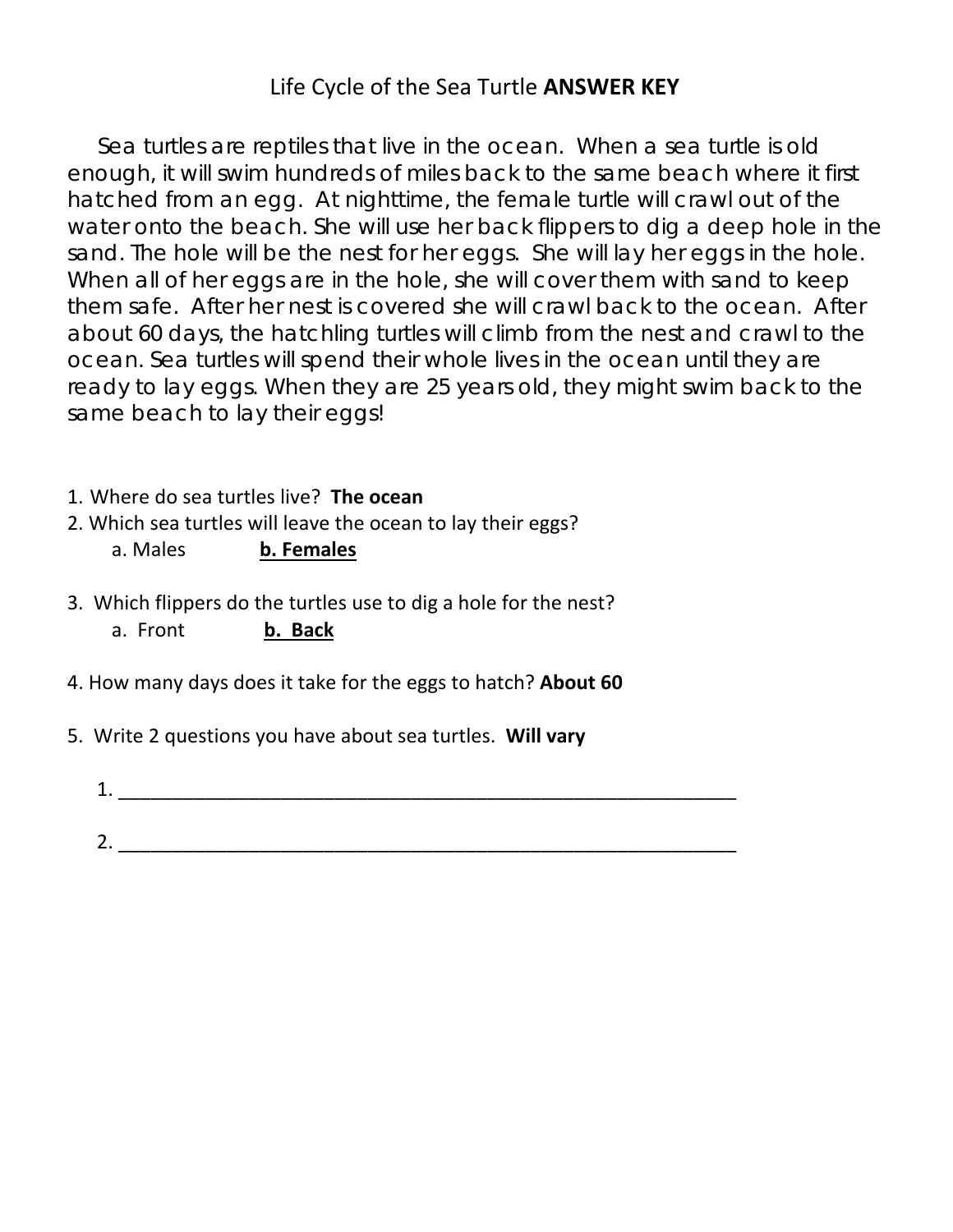# Life Cycle of the Sea Turtle **ANSWER KEY**

 Sea turtles are reptiles that live in the ocean. When a sea turtle is old enough, it will swim hundreds of miles back to the same beach where it first hatched from an egg. At nighttime, the female turtle will crawl out of the water onto the beach. She will use her back flippers to dig a deep hole in the sand. The hole will be the nest for her eggs. She will lay her eggs in the hole. When all of her eggs are in the hole, she will cover them with sand to keep them safe. After her nest is covered she will crawl back to the ocean. After about 60 days, the hatchling turtles will climb from the nest and crawl to the ocean. Sea turtles will spend their whole lives in the ocean until they are ready to lay eggs. When they are 25 years old, they might swim back to the same beach to lay their eggs!

- 1. Where do sea turtles live? **The ocean**
- 2. Which sea turtles will leave the ocean to lay their eggs?

a. Males **b. Females**

- 3. Which flippers do the turtles use to dig a hole for the nest?
	- a. Front **b. Back**
- 4. How many days does it take for the eggs to hatch? **About 60**
- 5. Write 2 questions you have about sea turtles. **Will vary**
	- 1.  $2.$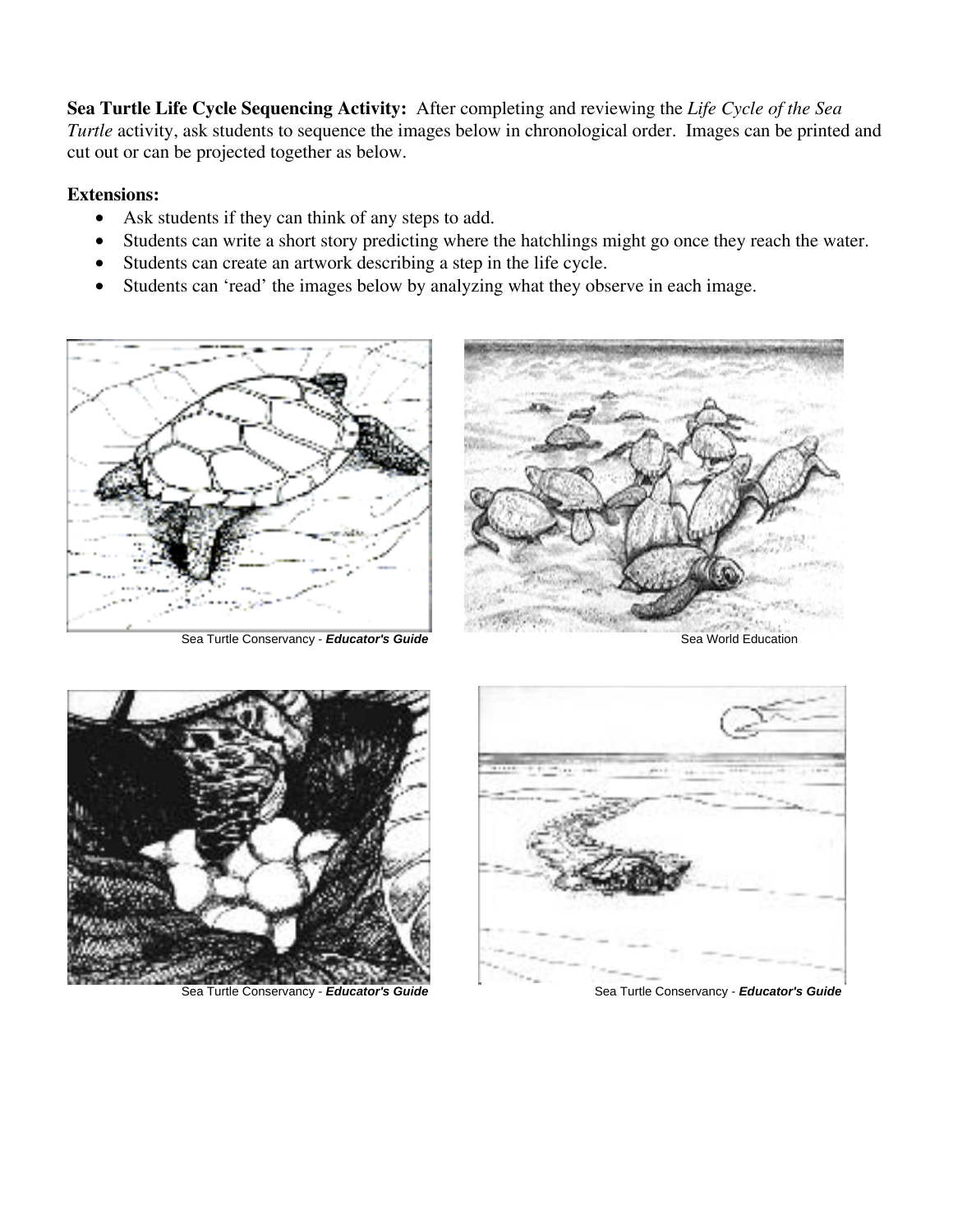**Sea Turtle Life Cycle Sequencing Activity:** After completing and reviewing the *Life Cycle of the Sea Turtle* activity, ask students to sequence the images below in chronological order. Images can be printed and cut out or can be projected together as below.

#### **Extensions:**

- Ask students if they can think of any steps to add.
- Students can write a short story predicting where the hatchlings might go once they reach the water.
- Students can create an artwork describing a step in the life cycle.
- Students can 'read' the images below by analyzing what they observe in each image.



Sea Turtle Conservancy - **Educator's Guide** Sea World Education Sea World Education







Sea Turtle Conservancy - *Educator's Guide* Sea Turtle Conservancy - *Educator's Guide* Sea Turtle Conservancy - *Educator's Guide*